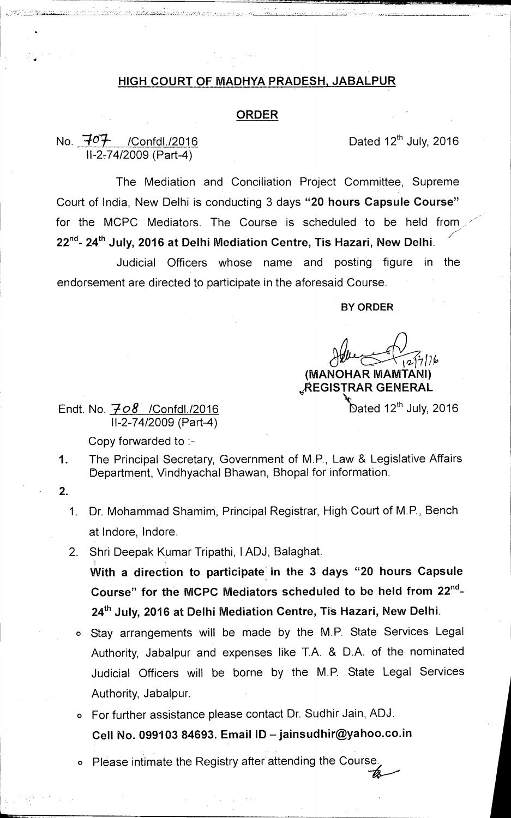## **HIGH COURT OF MADHYA PRADESH, JABALPUR**

## **ORDER**

No.  $\overline{407}$  /Confdl./2016 Dated 12<sup>th</sup> July, 2016 11-2-74/2009 (Part-4)

1'•'''••••:

The Mediation and Conciliation Project Committee, Supreme Court of India, New Delhi is conducting 3 days **"20 hours Capsule Course"**  for the MCPC Mediators. The Course is scheduled to be held from 22<sup>nd</sup>- 24<sup>th</sup> July, 2016 at Delhi Mediation Centre, Tis Hazari, New Delhi.

Judicial Officers whose name and posting figure in the endorsement are directed to participate in the aforesaid Course.

**BY ORDER** 

**10-17/2k, (MANOHAR MAMTANI) 4REGISTRAR GENERAL** 

Dated 12<sup>th</sup> July, 2016

Endt. No. *708* /Confdl./2016 11-2-74/2009 (Part-4)

Copy forwarded to :-

- 1. The Principal Secretary, Government of M.P., Law & Legislative Affairs Department, Vindhyachal Bhawan, Bhopal for information.
- **2.** 
	- 1. Dr. Mohammad Shamim, Principal Registrar, High Court of M.P., Bench at lndore, Indore.
	- 2. Shri Deepak Kumar Tripathi, IADJ, Balaghat.

With a direction to participate in the 3 days "20 hours Capsule Course" for the MCPC Mediators scheduled to be held from 22<sup>nd</sup>-24<sup>th</sup> July, 2016 at Delhi Mediation Centre, Tis Hazari, New Delhi.

- o Stay arrangements will be made by the M.P. State Services Legal Authority, Jabalpur and expenses like T.A. & D.A. of the nominated Judicial Officers will be borne by the M.P. State Legal Services Authority, Jabalpur.
- o For further assistance please contact Dr. Sudhir Jain, ADJ. **Cell No. 099103 84693. Email ID — jainsudhir@yahoo.co.in**
- o Please intimate the Registry after attending the Course.